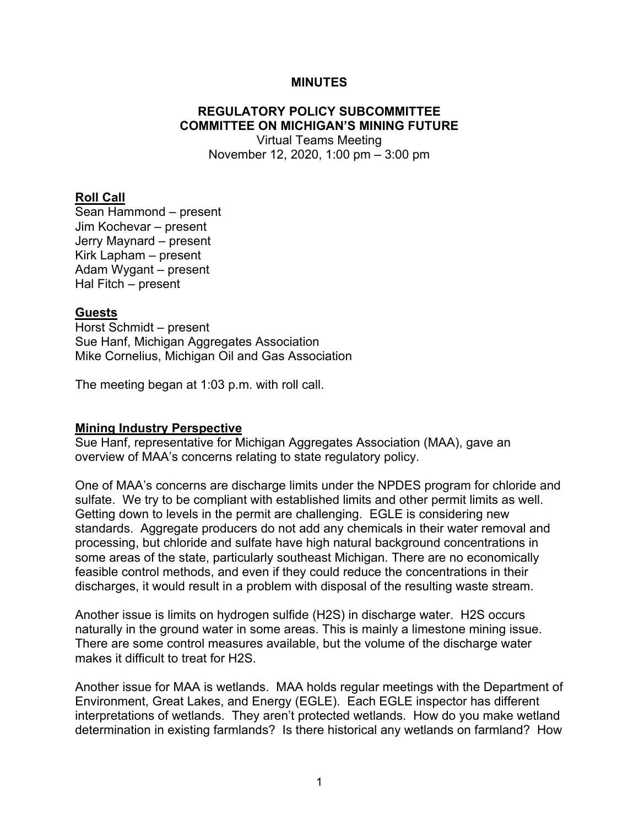#### **MINUTES**

# **REGULATORY POLICY SUBCOMMITTEE COMMITTEE ON MICHIGAN'S MINING FUTURE**

Virtual Teams Meeting November 12, 2020, 1:00 pm – 3:00 pm

#### **Roll Call**

Sean Hammond – present Jim Kochevar – present Jerry Maynard – present Kirk Lapham – present Adam Wygant – present Hal Fitch – present

#### **Guests**

Horst Schmidt – present Sue Hanf, Michigan Aggregates Association Mike Cornelius, Michigan Oil and Gas Association

The meeting began at 1:03 p.m. with roll call.

#### **Mining Industry Perspective**

Sue Hanf, representative for Michigan Aggregates Association (MAA), gave an overview of MAA's concerns relating to state regulatory policy.

One of MAA's concerns are discharge limits under the NPDES program for chloride and sulfate. We try to be compliant with established limits and other permit limits as well. Getting down to levels in the permit are challenging. EGLE is considering new standards. Aggregate producers do not add any chemicals in their water removal and processing, but chloride and sulfate have high natural background concentrations in some areas of the state, particularly southeast Michigan. There are no economically feasible control methods, and even if they could reduce the concentrations in their discharges, it would result in a problem with disposal of the resulting waste stream.

Another issue is limits on hydrogen sulfide (H2S) in discharge water. H2S occurs naturally in the ground water in some areas. This is mainly a limestone mining issue. There are some control measures available, but the volume of the discharge water makes it difficult to treat for H2S.

Another issue for MAA is wetlands. MAA holds regular meetings with the Department of Environment, Great Lakes, and Energy (EGLE). Each EGLE inspector has different interpretations of wetlands. They aren't protected wetlands. How do you make wetland determination in existing farmlands? Is there historical any wetlands on farmland? How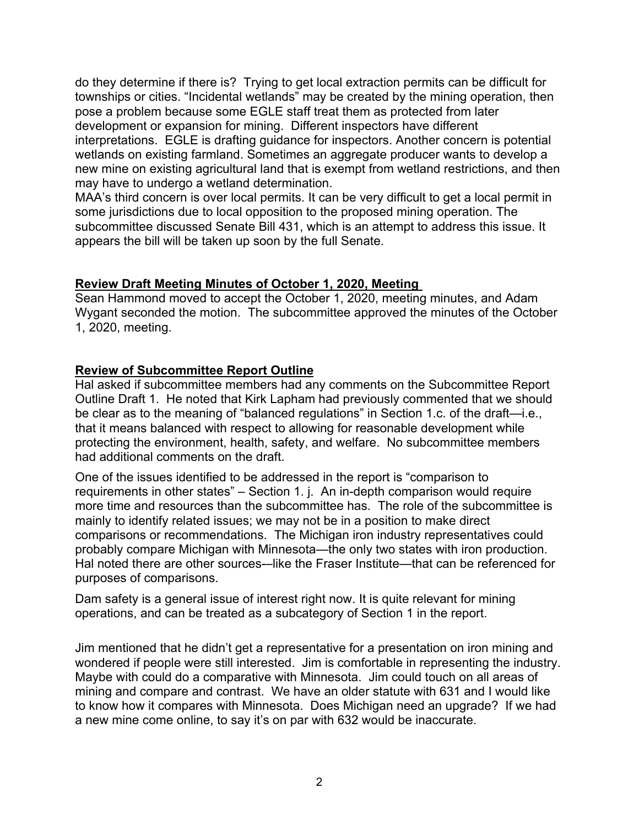do they determine if there is? Trying to get local extraction permits can be difficult for townships or cities. "Incidental wetlands" may be created by the mining operation, then pose a problem because some EGLE staff treat them as protected from later development or expansion for mining. Different inspectors have different interpretations. EGLE is drafting guidance for inspectors. Another concern is potential wetlands on existing farmland. Sometimes an aggregate producer wants to develop a new mine on existing agricultural land that is exempt from wetland restrictions, and then may have to undergo a wetland determination.

MAA's third concern is over local permits. It can be very difficult to get a local permit in some jurisdictions due to local opposition to the proposed mining operation. The subcommittee discussed Senate Bill 431, which is an attempt to address this issue. It appears the bill will be taken up soon by the full Senate.

## **Review Draft Meeting Minutes of October 1, 2020, Meeting**

Sean Hammond moved to accept the October 1, 2020, meeting minutes, and Adam Wygant seconded the motion. The subcommittee approved the minutes of the October 1, 2020, meeting.

## **Review of Subcommittee Report Outline**

Hal asked if subcommittee members had any comments on the Subcommittee Report Outline Draft 1. He noted that Kirk Lapham had previously commented that we should be clear as to the meaning of "balanced regulations" in Section 1.c. of the draft—i.e., that it means balanced with respect to allowing for reasonable development while protecting the environment, health, safety, and welfare. No subcommittee members had additional comments on the draft.

One of the issues identified to be addressed in the report is "comparison to requirements in other states" – Section 1. j. An in-depth comparison would require more time and resources than the subcommittee has. The role of the subcommittee is mainly to identify related issues; we may not be in a position to make direct comparisons or recommendations. The Michigan iron industry representatives could probably compare Michigan with Minnesota—the only two states with iron production. Hal noted there are other sources-–like the Fraser Institute—that can be referenced for purposes of comparisons.

Dam safety is a general issue of interest right now. It is quite relevant for mining operations, and can be treated as a subcategory of Section 1 in the report.

Jim mentioned that he didn't get a representative for a presentation on iron mining and wondered if people were still interested. Jim is comfortable in representing the industry. Maybe with could do a comparative with Minnesota. Jim could touch on all areas of mining and compare and contrast. We have an older statute with 631 and I would like to know how it compares with Minnesota. Does Michigan need an upgrade? If we had a new mine come online, to say it's on par with 632 would be inaccurate.